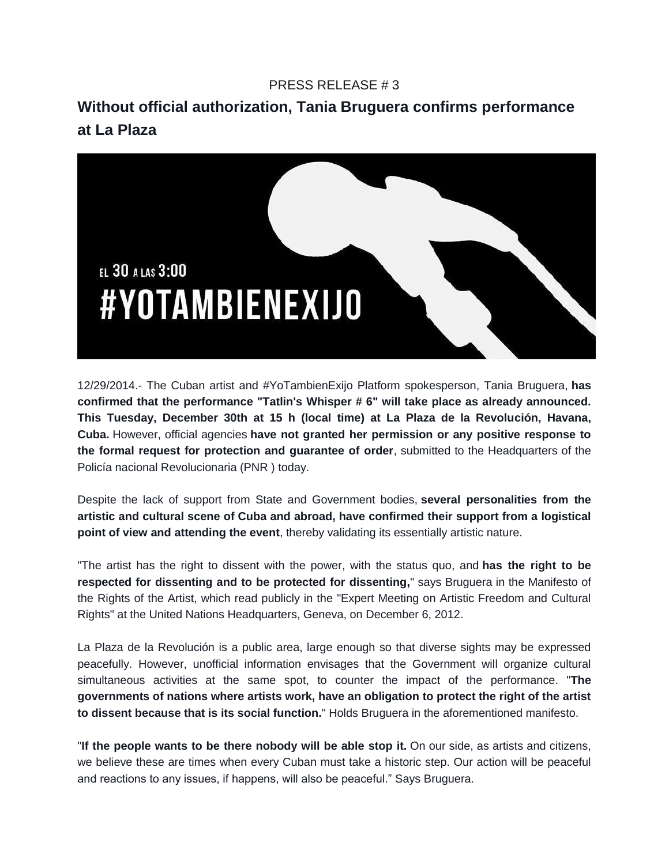## PRESS RELEASE # 3

**Without official authorization, Tania Bruguera confirms performance at La Plaza**



12/29/2014.- The Cuban artist and #YoTambienExijo Platform spokesperson, Tania Bruguera, **has confirmed that the performance "Tatlin's Whisper # 6" will take place as already announced. This Tuesday, December 30th at 15 h (local time) at La Plaza de la Revolución, Havana, Cuba.** However, official agencies **have not granted her permission or any positive response to the formal request for protection and guarantee of order**, submitted to the Headquarters of the Policía nacional Revolucionaria (PNR ) today.

Despite the lack of support from State and Government bodies, **several personalities from the artistic and cultural scene of Cuba and abroad, have confirmed their support from a logistical point of view and attending the event**, thereby validating its essentially artistic nature.

"The artist has the right to dissent with the power, with the status quo, and **has the right to be respected for dissenting and to be protected for dissenting,**" says Bruguera in the Manifesto of the Rights of the Artist, which read publicly in the "Expert Meeting on Artistic Freedom and Cultural Rights" at the United Nations Headquarters, Geneva, on December 6, 2012.

La Plaza de la Revolución is a public area, large enough so that diverse sights may be expressed peacefully. However, unofficial information envisages that the Government will organize cultural simultaneous activities at the same spot, to counter the impact of the performance. "**The governments of nations where artists work, have an obligation to protect the right of the artist to dissent because that is its social function.**" Holds Bruguera in the aforementioned manifesto.

"**If the people wants to be there nobody will be able stop it.** On our side, as artists and citizens, we believe these are times when every Cuban must take a historic step. Our action will be peaceful and reactions to any issues, if happens, will also be peaceful." Says Bruguera.